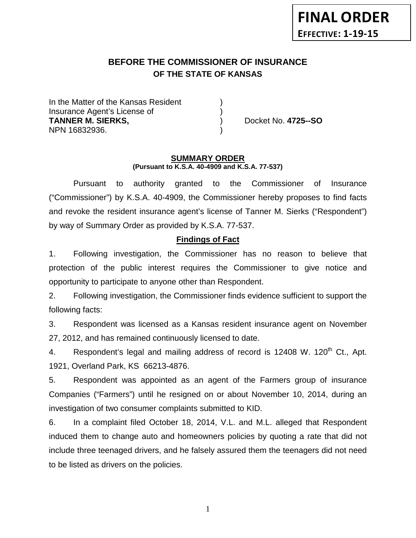# **BEFORE THE COMMISSIONER OF INSURANCE OF THE STATE OF KANSAS**

In the Matter of the Kansas Resident Insurance Agent's License of ) **TANNER M. SIERKS,** ) Docket No. **4725--SO** NPN 16832936. )

#### **SUMMARY ORDER (Pursuant to K.S.A. 40-4909 and K.S.A. 77-537)**

Pursuant to authority granted to the Commissioner of Insurance ("Commissioner") by K.S.A. 40-4909, the Commissioner hereby proposes to find facts and revoke the resident insurance agent's license of Tanner M. Sierks ("Respondent") by way of Summary Order as provided by K.S.A. 77-537.

## **Findings of Fact**

1. Following investigation, the Commissioner has no reason to believe that protection of the public interest requires the Commissioner to give notice and opportunity to participate to anyone other than Respondent.

2. Following investigation, the Commissioner finds evidence sufficient to support the following facts:

3. Respondent was licensed as a Kansas resident insurance agent on November 27, 2012, and has remained continuously licensed to date.

4. Respondent's legal and mailing address of record is 12408 W. 120<sup>th</sup> Ct., Apt. 1921, Overland Park, KS 66213-4876.

5. Respondent was appointed as an agent of the Farmers group of insurance Companies ("Farmers") until he resigned on or about November 10, 2014, during an investigation of two consumer complaints submitted to KID.

6. In a complaint filed October 18, 2014, V.L. and M.L. alleged that Respondent induced them to change auto and homeowners policies by quoting a rate that did not include three teenaged drivers, and he falsely assured them the teenagers did not need to be listed as drivers on the policies.

1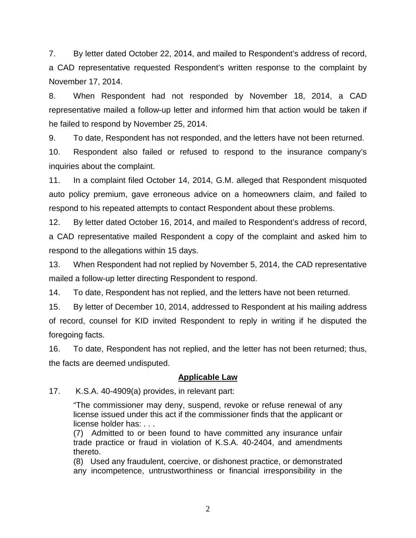7. By letter dated October 22, 2014, and mailed to Respondent's address of record, a CAD representative requested Respondent's written response to the complaint by November 17, 2014.

8. When Respondent had not responded by November 18, 2014, a CAD representative mailed a follow-up letter and informed him that action would be taken if he failed to respond by November 25, 2014.

9. To date, Respondent has not responded, and the letters have not been returned.

10. Respondent also failed or refused to respond to the insurance company's inquiries about the complaint.

11. In a complaint filed October 14, 2014, G.M. alleged that Respondent misquoted auto policy premium, gave erroneous advice on a homeowners claim, and failed to respond to his repeated attempts to contact Respondent about these problems.

12. By letter dated October 16, 2014, and mailed to Respondent's address of record, a CAD representative mailed Respondent a copy of the complaint and asked him to respond to the allegations within 15 days.

13. When Respondent had not replied by November 5, 2014, the CAD representative mailed a follow-up letter directing Respondent to respond.

14. To date, Respondent has not replied, and the letters have not been returned.

15. By letter of December 10, 2014, addressed to Respondent at his mailing address of record, counsel for KID invited Respondent to reply in writing if he disputed the foregoing facts.

16. To date, Respondent has not replied, and the letter has not been returned; thus, the facts are deemed undisputed.

# **Applicable Law**

17. K.S.A. 40-4909(a) provides, in relevant part:

"The commissioner may deny, suspend, revoke or refuse renewal of any license issued under this act if the commissioner finds that the applicant or license holder has: . . .

(7) Admitted to or been found to have committed any insurance unfair trade practice or fraud in violation of K.S.A. 40-2404, and amendments thereto.

(8) Used any fraudulent, coercive, or dishonest practice, or demonstrated any incompetence, untrustworthiness or financial irresponsibility in the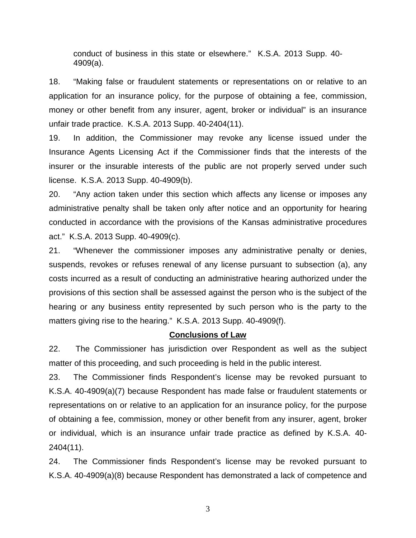conduct of business in this state or elsewhere." K.S.A. 2013 Supp. 40- 4909(a).

18. "Making false or fraudulent statements or representations on or relative to an application for an insurance policy, for the purpose of obtaining a fee, commission, money or other benefit from any insurer, agent, broker or individual" is an insurance unfair trade practice. K.S.A. 2013 Supp. 40-2404(11).

19. In addition, the Commissioner may revoke any license issued under the Insurance Agents Licensing Act if the Commissioner finds that the interests of the insurer or the insurable interests of the public are not properly served under such license. K.S.A. 2013 Supp. 40-4909(b).

20. "Any action taken under this section which affects any license or imposes any administrative penalty shall be taken only after notice and an opportunity for hearing conducted in accordance with the provisions of the Kansas administrative procedures act." K.S.A. 2013 Supp. 40-4909(c).

21. "Whenever the commissioner imposes any administrative penalty or denies, suspends, revokes or refuses renewal of any license pursuant to subsection (a), any costs incurred as a result of conducting an administrative hearing authorized under the provisions of this section shall be assessed against the person who is the subject of the hearing or any business entity represented by such person who is the party to the matters giving rise to the hearing." K.S.A. 2013 Supp. 40-4909(f).

### **Conclusions of Law**

22. The Commissioner has jurisdiction over Respondent as well as the subject matter of this proceeding, and such proceeding is held in the public interest.

23. The Commissioner finds Respondent's license may be revoked pursuant to K.S.A. 40-4909(a)(7) because Respondent has made false or fraudulent statements or representations on or relative to an application for an insurance policy, for the purpose of obtaining a fee, commission, money or other benefit from any insurer, agent, broker or individual, which is an insurance unfair trade practice as defined by K.S.A. 40- 2404(11).

24. The Commissioner finds Respondent's license may be revoked pursuant to K.S.A. 40-4909(a)(8) because Respondent has demonstrated a lack of competence and

3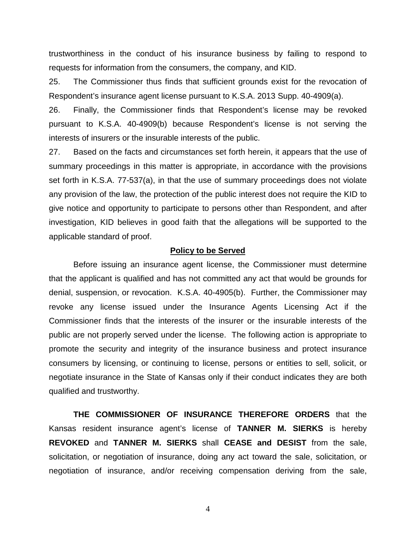trustworthiness in the conduct of his insurance business by failing to respond to requests for information from the consumers, the company, and KID.

25. The Commissioner thus finds that sufficient grounds exist for the revocation of Respondent's insurance agent license pursuant to K.S.A. 2013 Supp. 40-4909(a).

26. Finally, the Commissioner finds that Respondent's license may be revoked pursuant to K.S.A. 40-4909(b) because Respondent's license is not serving the interests of insurers or the insurable interests of the public.

27. Based on the facts and circumstances set forth herein, it appears that the use of summary proceedings in this matter is appropriate, in accordance with the provisions set forth in K.S.A. 77-537(a), in that the use of summary proceedings does not violate any provision of the law, the protection of the public interest does not require the KID to give notice and opportunity to participate to persons other than Respondent, and after investigation, KID believes in good faith that the allegations will be supported to the applicable standard of proof.

#### **Policy to be Served**

Before issuing an insurance agent license, the Commissioner must determine that the applicant is qualified and has not committed any act that would be grounds for denial, suspension, or revocation. K.S.A. 40-4905(b). Further, the Commissioner may revoke any license issued under the Insurance Agents Licensing Act if the Commissioner finds that the interests of the insurer or the insurable interests of the public are not properly served under the license. The following action is appropriate to promote the security and integrity of the insurance business and protect insurance consumers by licensing, or continuing to license, persons or entities to sell, solicit, or negotiate insurance in the State of Kansas only if their conduct indicates they are both qualified and trustworthy.

**THE COMMISSIONER OF INSURANCE THEREFORE ORDERS** that the Kansas resident insurance agent's license of **TANNER M. SIERKS** is hereby **REVOKED** and **TANNER M. SIERKS** shall **CEASE and DESIST** from the sale, solicitation, or negotiation of insurance, doing any act toward the sale, solicitation, or negotiation of insurance, and/or receiving compensation deriving from the sale,

4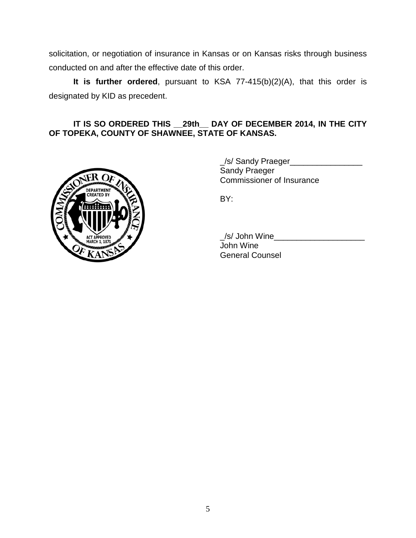solicitation, or negotiation of insurance in Kansas or on Kansas risks through business conducted on and after the effective date of this order.

**It is further ordered**, pursuant to KSA 77-415(b)(2)(A), that this order is designated by KID as precedent.

### **IT IS SO ORDERED THIS \_\_29th\_\_ DAY OF DECEMBER 2014, IN THE CITY OF TOPEKA, COUNTY OF SHAWNEE, STATE OF KANSAS.**



\_/s/ Sandy Praeger\_\_\_\_\_\_\_\_\_\_\_\_\_\_\_\_ Sandy Praeger Commissioner of Insurance

BY:

 $\angle$ /s/ John Wine $\angle$ 

John Wine General Counsel